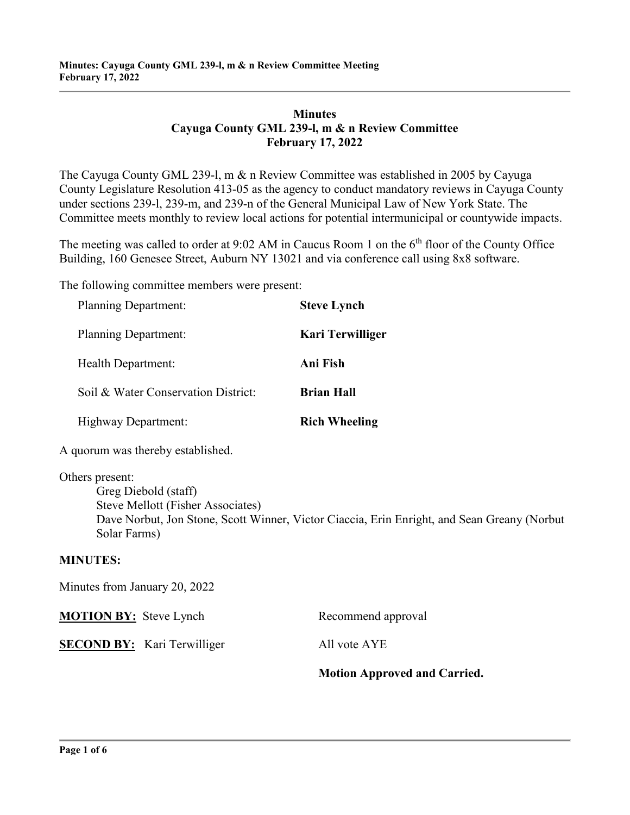## **Minutes Cayuga County GML 239-l, m & n Review Committee February 17, 2022**

The Cayuga County GML 239-l, m & n Review Committee was established in 2005 by Cayuga County Legislature Resolution 413-05 as the agency to conduct mandatory reviews in Cayuga County under sections 239-l, 239-m, and 239-n of the General Municipal Law of New York State. The Committee meets monthly to review local actions for potential intermunicipal or countywide impacts.

The meeting was called to order at 9:02 AM in Caucus Room 1 on the  $6<sup>th</sup>$  floor of the County Office Building, 160 Genesee Street, Auburn NY 13021 and via conference call using 8x8 software.

The following committee members were present:

| <b>Planning Department:</b>                                                  | <b>Steve Lynch</b>                                                                          |
|------------------------------------------------------------------------------|---------------------------------------------------------------------------------------------|
| <b>Planning Department:</b>                                                  | <b>Kari Terwilliger</b>                                                                     |
| Health Department:                                                           | Ani Fish                                                                                    |
| Soil & Water Conservation District:                                          | <b>Brian Hall</b>                                                                           |
| Highway Department:                                                          | <b>Rich Wheeling</b>                                                                        |
| A quorum was thereby established.                                            |                                                                                             |
| Others present:<br>Greg Diebold (staff)<br>Steve Mellott (Fisher Associates) | Dave Norbut, Jon Stone, Scott Winner, Victor Ciaccia, Erin Enright, and Sean Greany (Norbut |
| Solar Farms)                                                                 |                                                                                             |

#### **MINUTES:**

Minutes from January 20, 2022 **MOTION BY:** Steve Lynch Recommend approval **SECOND BY:** Kari Terwilliger All vote AYE **Motion Approved and Carried.**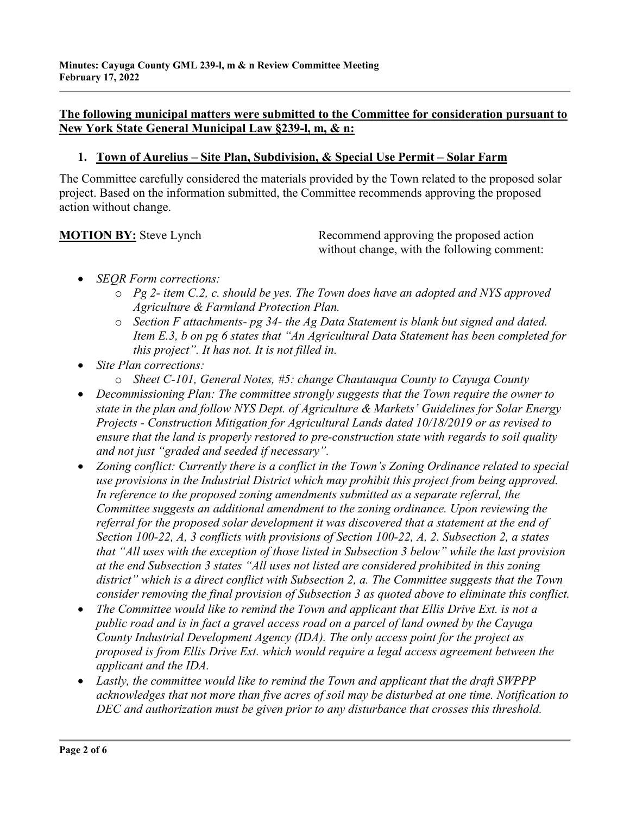## **The following municipal matters were submitted to the Committee for consideration pursuant to New York State General Municipal Law §239-l, m, & n:**

## **1. Town of Aurelius – Site Plan, Subdivision, & Special Use Permit – Solar Farm**

The Committee carefully considered the materials provided by the Town related to the proposed solar project. Based on the information submitted, the Committee recommends approving the proposed action without change.

**MOTION BY:** Steve Lynch Recommend approving the proposed action without change, with the following comment:

- *SEQR Form corrections:*
	- o *Pg 2- item C.2, c. should be yes. The Town does have an adopted and NYS approved Agriculture & Farmland Protection Plan.*
	- o *Section F attachments- pg 34- the Ag Data Statement is blank but signed and dated. Item E.3, b on pg 6 states that "An Agricultural Data Statement has been completed for this project". It has not. It is not filled in.*
- *Site Plan corrections:*
	- o *Sheet C-101, General Notes, #5: change Chautauqua County to Cayuga County*
- *Decommissioning Plan: The committee strongly suggests that the Town require the owner to state in the plan and follow NYS Dept. of Agriculture & Markets' Guidelines for Solar Energy Projects - Construction Mitigation for Agricultural Lands dated 10/18/2019 or as revised to ensure that the land is properly restored to pre-construction state with regards to soil quality and not just "graded and seeded if necessary".*
- *Zoning conflict: Currently there is a conflict in the Town's Zoning Ordinance related to special use provisions in the Industrial District which may prohibit this project from being approved.*  In reference to the proposed zoning amendments submitted as a separate referral, the *Committee suggests an additional amendment to the zoning ordinance. Upon reviewing the referral for the proposed solar development it was discovered that a statement at the end of Section 100-22, A, 3 conflicts with provisions of Section 100-22, A, 2. Subsection 2, a states that "All uses with the exception of those listed in Subsection 3 below" while the last provision at the end Subsection 3 states "All uses not listed are considered prohibited in this zoning district" which is a direct conflict with Subsection 2, a. The Committee suggests that the Town consider removing the final provision of Subsection 3 as quoted above to eliminate this conflict.*
- *The Committee would like to remind the Town and applicant that Ellis Drive Ext. is not a public road and is in fact a gravel access road on a parcel of land owned by the Cayuga County Industrial Development Agency (IDA). The only access point for the project as proposed is from Ellis Drive Ext. which would require a legal access agreement between the applicant and the IDA.*
- *Lastly, the committee would like to remind the Town and applicant that the draft SWPPP acknowledges that not more than five acres of soil may be disturbed at one time. Notification to DEC and authorization must be given prior to any disturbance that crosses this threshold.*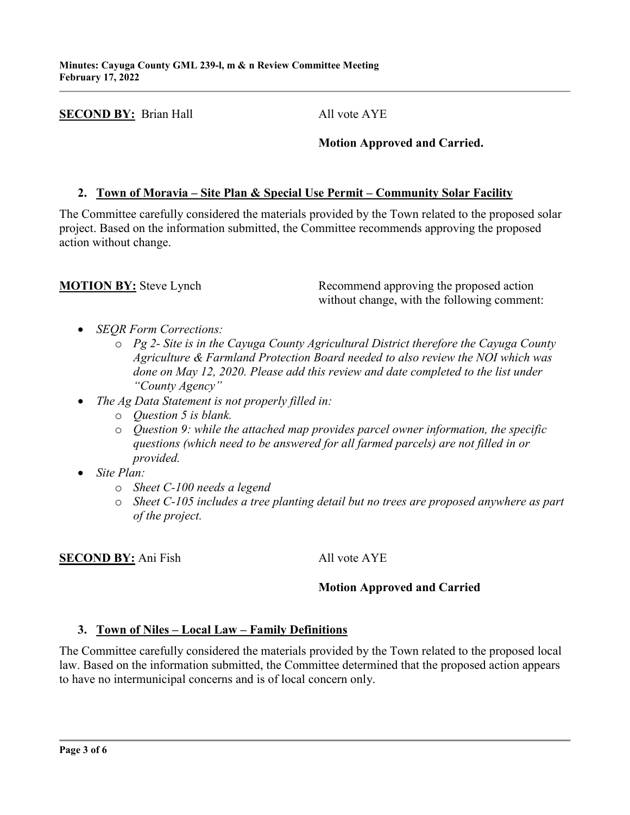**SECOND BY:** Brian Hall All vote AYE

## **Motion Approved and Carried.**

# **2. Town of Moravia – Site Plan & Special Use Permit – Community Solar Facility**

The Committee carefully considered the materials provided by the Town related to the proposed solar project. Based on the information submitted, the Committee recommends approving the proposed action without change.

**MOTION BY:** Steve Lynch Recommend approving the proposed action without change, with the following comment:

- *SEQR Form Corrections:*
	- o *Pg 2- Site is in the Cayuga County Agricultural District therefore the Cayuga County Agriculture & Farmland Protection Board needed to also review the NOI which was done on May 12, 2020. Please add this review and date completed to the list under "County Agency"*
- *The Ag Data Statement is not properly filled in:*
	- o *Question 5 is blank.*
	- o *Question 9: while the attached map provides parcel owner information, the specific questions (which need to be answered for all farmed parcels) are not filled in or provided.*
- *Site Plan:*
	- o *Sheet C-100 needs a legend*
	- o *Sheet C-105 includes a tree planting detail but no trees are proposed anywhere as part of the project.*

**SECOND BY:** Ani Fish All vote AYE

# **Motion Approved and Carried**

## **3. Town of Niles – Local Law – Family Definitions**

The Committee carefully considered the materials provided by the Town related to the proposed local law. Based on the information submitted, the Committee determined that the proposed action appears to have no intermunicipal concerns and is of local concern only.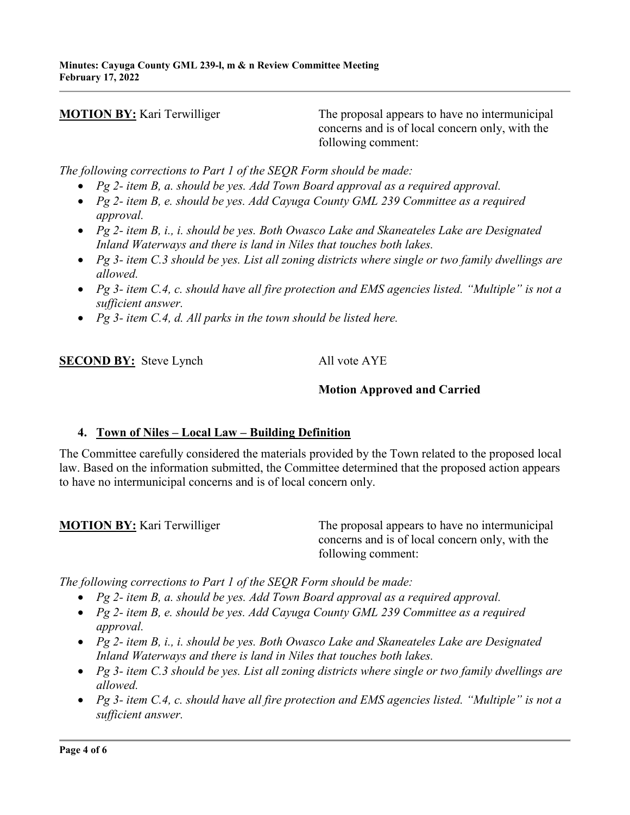**MOTION BY:** Kari Terwilliger The proposal appears to have no intermunicipal concerns and is of local concern only, with the following comment:

*The following corrections to Part 1 of the SEQR Form should be made:*

- *Pg 2- item B, a. should be yes. Add Town Board approval as a required approval.*
- *Pg 2- item B, e. should be yes. Add Cayuga County GML 239 Committee as a required approval.*
- *Pg 2- item B, i., i. should be yes. Both Owasco Lake and Skaneateles Lake are Designated Inland Waterways and there is land in Niles that touches both lakes.*
- *Pg 3- item C.3 should be yes. List all zoning districts where single or two family dwellings are allowed.*
- *Pg 3- item C.4, c. should have all fire protection and EMS agencies listed. "Multiple" is not a sufficient answer.*
- *Pg 3- item C.4, d. All parks in the town should be listed here.*

**SECOND BY:** Steve Lynch All vote AYE

## **Motion Approved and Carried**

#### **4. Town of Niles – Local Law – Building Definition**

The Committee carefully considered the materials provided by the Town related to the proposed local law. Based on the information submitted, the Committee determined that the proposed action appears to have no intermunicipal concerns and is of local concern only.

**MOTION BY:** Kari Terwilliger The proposal appears to have no intermunicipal concerns and is of local concern only, with the following comment:

*The following corrections to Part 1 of the SEQR Form should be made:*

- *Pg 2- item B, a. should be yes. Add Town Board approval as a required approval.*
- *Pg 2- item B, e. should be yes. Add Cayuga County GML 239 Committee as a required approval.*
- *Pg 2- item B, i., i. should be yes. Both Owasco Lake and Skaneateles Lake are Designated Inland Waterways and there is land in Niles that touches both lakes.*
- *Pg 3- item C.3 should be yes. List all zoning districts where single or two family dwellings are allowed.*
- *Pg 3- item C.4, c. should have all fire protection and EMS agencies listed. "Multiple" is not a sufficient answer.*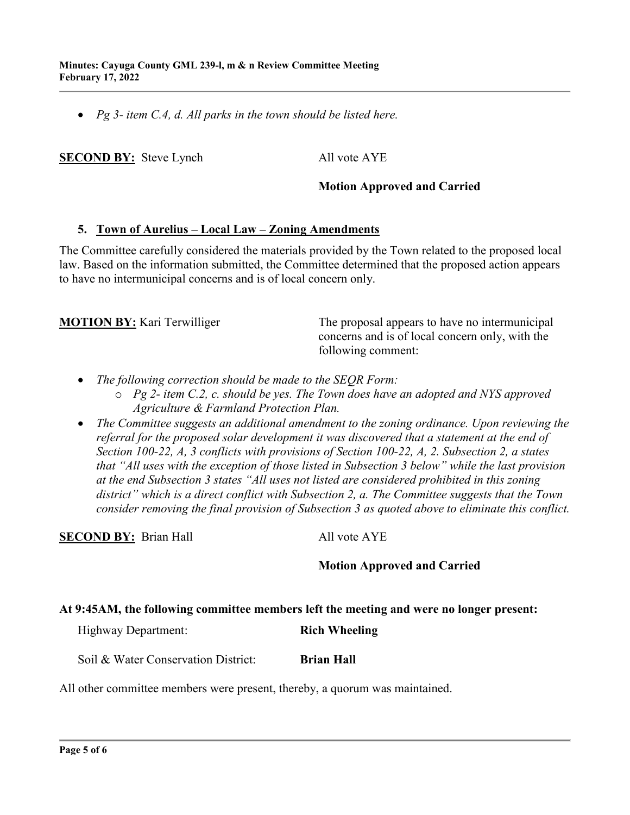• *Pg 3- item C.4, d. All parks in the town should be listed here.*

**SECOND BY:** Steve Lynch All vote AYE

#### **Motion Approved and Carried**

#### **5. Town of Aurelius – Local Law – Zoning Amendments**

The Committee carefully considered the materials provided by the Town related to the proposed local law. Based on the information submitted, the Committee determined that the proposed action appears to have no intermunicipal concerns and is of local concern only.

**MOTION BY:** Kari Terwilliger The proposal appears to have no intermunicipal concerns and is of local concern only, with the following comment:

- *The following correction should be made to the SEQR Form:*
	- o *Pg 2- item C.2, c. should be yes. The Town does have an adopted and NYS approved Agriculture & Farmland Protection Plan.*
- *The Committee suggests an additional amendment to the zoning ordinance. Upon reviewing the referral for the proposed solar development it was discovered that a statement at the end of Section 100-22, A, 3 conflicts with provisions of Section 100-22, A, 2. Subsection 2, a states that "All uses with the exception of those listed in Subsection 3 below" while the last provision at the end Subsection 3 states "All uses not listed are considered prohibited in this zoning district" which is a direct conflict with Subsection 2, a. The Committee suggests that the Town consider removing the final provision of Subsection 3 as quoted above to eliminate this conflict.*

**SECOND BY:** Brian Hall All vote AYE

#### **Motion Approved and Carried**

#### **At 9:45AM, the following committee members left the meeting and were no longer present:**

| <b>Highway Department:</b> | <b>Rich Wheeling</b> |
|----------------------------|----------------------|
|                            |                      |

Soil & Water Conservation District: **Brian Hall** 

All other committee members were present, thereby, a quorum was maintained.